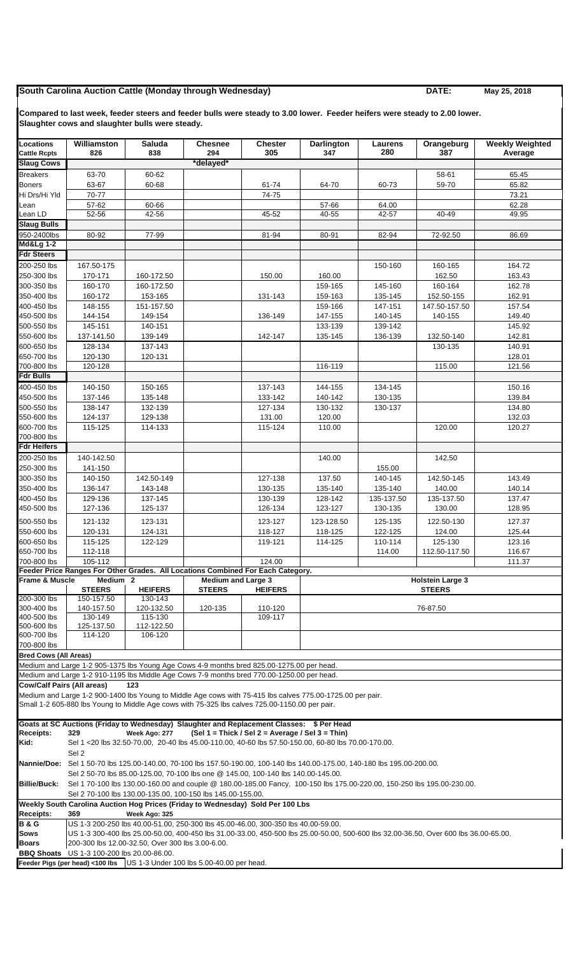## **South Carolina Auction Cattle (Monday through Wednesday) DATE:** DATE: May 25, 2018

**Compared to last week, feeder steers and feeder bulls were steady to 3.00 lower. Feeder heifers were steady to 2.00 lower. Slaughter cows and slaughter bulls were steady.**

| <b>Locations</b><br><b>Cattle Rcpts</b>                                                                                                                                                                                            | Williamston<br>826                                                                                                                            | <b>Saluda</b><br>838                                                                              | <b>Chesnee</b><br>294     | <b>Chester</b><br>305                            | <b>Darlington</b><br>347                                                                                       | Laurens<br>280     | Orangeburg<br>387 | <b>Weekly Weighted</b><br>Average |  |  |  |
|------------------------------------------------------------------------------------------------------------------------------------------------------------------------------------------------------------------------------------|-----------------------------------------------------------------------------------------------------------------------------------------------|---------------------------------------------------------------------------------------------------|---------------------------|--------------------------------------------------|----------------------------------------------------------------------------------------------------------------|--------------------|-------------------|-----------------------------------|--|--|--|
| <b>Slaug Cows</b>                                                                                                                                                                                                                  |                                                                                                                                               |                                                                                                   | *delayed*                 |                                                  |                                                                                                                |                    |                   |                                   |  |  |  |
| <b>Breakers</b>                                                                                                                                                                                                                    | 63-70                                                                                                                                         | 60-62                                                                                             |                           |                                                  |                                                                                                                |                    | 58-61             | 65.45                             |  |  |  |
| <b>Boners</b>                                                                                                                                                                                                                      | 63-67                                                                                                                                         | 60-68                                                                                             |                           | 61-74                                            | 64-70                                                                                                          | 60-73              | 59-70             | 65.82                             |  |  |  |
| Hi Drs/Hi Yld                                                                                                                                                                                                                      | 70-77                                                                                                                                         |                                                                                                   |                           | 74-75                                            |                                                                                                                |                    |                   | 73.21                             |  |  |  |
| Lean                                                                                                                                                                                                                               | 57-62                                                                                                                                         | 60-66                                                                                             |                           |                                                  | 57-66                                                                                                          | 64.00              |                   | 62.28                             |  |  |  |
| Lean LD                                                                                                                                                                                                                            | $52 - 56$                                                                                                                                     | 42-56                                                                                             |                           | 45-52                                            | 40-55                                                                                                          | 42-57              | 40-49             | 49.95                             |  |  |  |
| <b>Slaug Bulls</b>                                                                                                                                                                                                                 |                                                                                                                                               |                                                                                                   |                           |                                                  |                                                                                                                |                    |                   |                                   |  |  |  |
| 950-2400lbs                                                                                                                                                                                                                        | 80-92                                                                                                                                         | 77-99                                                                                             |                           | 81-94                                            | 80-91                                                                                                          | 82-94              | 72-92.50          | 86.69                             |  |  |  |
| <b>Md&amp;Lg 1-2</b>                                                                                                                                                                                                               |                                                                                                                                               |                                                                                                   |                           |                                                  |                                                                                                                |                    |                   |                                   |  |  |  |
| <b>Fdr Steers</b>                                                                                                                                                                                                                  |                                                                                                                                               |                                                                                                   |                           |                                                  |                                                                                                                |                    |                   |                                   |  |  |  |
| 200-250 lbs<br>250-300 lbs                                                                                                                                                                                                         | 167.50-175                                                                                                                                    |                                                                                                   |                           |                                                  |                                                                                                                | 150-160            | 160-165           | 164.72                            |  |  |  |
| 300-350 lbs                                                                                                                                                                                                                        | 170-171<br>160-170                                                                                                                            | 160-172.50<br>160-172.50                                                                          |                           | 150.00                                           | 160.00<br>159-165                                                                                              | 145-160            | 162.50<br>160-164 | 163.43<br>162.78                  |  |  |  |
| 350-400 lbs                                                                                                                                                                                                                        | 160-172                                                                                                                                       | 153-165                                                                                           |                           | 131-143                                          | 159-163                                                                                                        | 135-145            | 152.50-155        | 162.91                            |  |  |  |
| 400-450 lbs                                                                                                                                                                                                                        | 148-155                                                                                                                                       | 151-157.50                                                                                        |                           |                                                  | 159-166                                                                                                        | 147-151            | 147.50-157.50     | 157.54                            |  |  |  |
| 450-500 lbs                                                                                                                                                                                                                        | 144-154                                                                                                                                       | 149-154                                                                                           |                           | 136-149                                          | 147-155                                                                                                        | 140-145            | 140-155           | 149.40                            |  |  |  |
| 500-550 lbs                                                                                                                                                                                                                        | 145-151                                                                                                                                       | 140-151                                                                                           |                           |                                                  | 133-139                                                                                                        | 139-142            |                   | 145.92                            |  |  |  |
| 550-600 lbs                                                                                                                                                                                                                        | 137-141.50                                                                                                                                    | 139-149                                                                                           |                           | 142-147                                          | 135-145                                                                                                        | 136-139            | 132.50-140        | 142.81                            |  |  |  |
| 600-650 lbs                                                                                                                                                                                                                        | 128-134                                                                                                                                       | 137-143                                                                                           |                           |                                                  |                                                                                                                |                    | 130-135           | 140.91                            |  |  |  |
| 650-700 lbs                                                                                                                                                                                                                        | 120-130                                                                                                                                       | 120-131                                                                                           |                           |                                                  |                                                                                                                |                    |                   | 128.01                            |  |  |  |
| 700-800 lbs                                                                                                                                                                                                                        | 120-128                                                                                                                                       |                                                                                                   |                           |                                                  | 116-119                                                                                                        |                    | 115.00            | 121.56                            |  |  |  |
| <b>Fdr Bulls</b>                                                                                                                                                                                                                   |                                                                                                                                               |                                                                                                   |                           |                                                  |                                                                                                                |                    |                   |                                   |  |  |  |
| 400-450 lbs                                                                                                                                                                                                                        | 140-150                                                                                                                                       | 150-165                                                                                           |                           | 137-143                                          | 144-155                                                                                                        | 134-145            |                   | 150.16                            |  |  |  |
| 450-500 lbs<br>500-550 lbs                                                                                                                                                                                                         | 137-146<br>138-147                                                                                                                            | 135-148<br>132-139                                                                                |                           | 133-142<br>127-134                               | 140-142<br>130-132                                                                                             | 130-135<br>130-137 |                   | 139.84<br>134.80                  |  |  |  |
| 550-600 lbs                                                                                                                                                                                                                        | 124-137                                                                                                                                       | 129-138                                                                                           |                           | 131.00                                           | 120.00                                                                                                         |                    |                   | 132.03                            |  |  |  |
| 600-700 lbs                                                                                                                                                                                                                        | 115-125                                                                                                                                       | 114-133                                                                                           |                           | 115-124                                          | 110.00                                                                                                         |                    | 120.00            | 120.27                            |  |  |  |
| 700-800 lbs                                                                                                                                                                                                                        |                                                                                                                                               |                                                                                                   |                           |                                                  |                                                                                                                |                    |                   |                                   |  |  |  |
| <b>Fdr Heifers</b>                                                                                                                                                                                                                 |                                                                                                                                               |                                                                                                   |                           |                                                  |                                                                                                                |                    |                   |                                   |  |  |  |
| 200-250 lbs                                                                                                                                                                                                                        | 140-142.50                                                                                                                                    |                                                                                                   |                           |                                                  | 140.00                                                                                                         |                    | 142.50            |                                   |  |  |  |
| 250-300 lbs                                                                                                                                                                                                                        | 141-150                                                                                                                                       |                                                                                                   |                           |                                                  |                                                                                                                | 155.00             |                   |                                   |  |  |  |
| 300-350 lbs                                                                                                                                                                                                                        | 140-150                                                                                                                                       | 142.50-149                                                                                        |                           | 127-138                                          | 137.50                                                                                                         | 140-145            | 142.50-145        | 143.49                            |  |  |  |
| 350-400 lbs                                                                                                                                                                                                                        | 136-147                                                                                                                                       | 143-148                                                                                           |                           | 130-135                                          | 135-140                                                                                                        | 135-140            | 140.00            | 140.14                            |  |  |  |
| 400-450 lbs                                                                                                                                                                                                                        | 129-136                                                                                                                                       | 137-145                                                                                           |                           | 130-139                                          | 128-142                                                                                                        | 135-137.50         | 135-137.50        | 137.47                            |  |  |  |
| 450-500 lbs                                                                                                                                                                                                                        | 127-136                                                                                                                                       | 125-137                                                                                           |                           | 126-134                                          | 123-127                                                                                                        | 130-135            | 130.00            | 128.95                            |  |  |  |
| 500-550 lbs                                                                                                                                                                                                                        | 121-132                                                                                                                                       | 123-131                                                                                           |                           | 123-127                                          | 123-128.50                                                                                                     | 125-135            | 122.50-130        | 127.37                            |  |  |  |
| 550-600 lbs                                                                                                                                                                                                                        | 120-131                                                                                                                                       | 124-131                                                                                           |                           | 118-127                                          | 118-125                                                                                                        | 122-125            | 124.00            | 125.44                            |  |  |  |
| 600-650 lbs                                                                                                                                                                                                                        | 115-125                                                                                                                                       | 122-129                                                                                           |                           | 119-121                                          | 114-125                                                                                                        | 110-114            | 125-130           | 123.16                            |  |  |  |
| 650-700 lbs<br>700-800 lbs                                                                                                                                                                                                         | 112-118<br>105-112                                                                                                                            |                                                                                                   |                           | 124.00                                           |                                                                                                                | 114.00             | 112.50-117.50     | 116.67<br>111.37                  |  |  |  |
|                                                                                                                                                                                                                                    |                                                                                                                                               | Feeder Price Ranges For Other Grades. All Locations Combined For Each Category.                   |                           |                                                  |                                                                                                                |                    |                   |                                   |  |  |  |
| <b>Frame &amp; Muscle</b>                                                                                                                                                                                                          | Medium 2                                                                                                                                      |                                                                                                   | <b>Medium and Large 3</b> |                                                  | <b>Holstein Large 3</b>                                                                                        |                    |                   |                                   |  |  |  |
|                                                                                                                                                                                                                                    | <b>STEERS</b>                                                                                                                                 | <b>HEIFERS</b>                                                                                    | <b>STEERS</b>             | <b>HEIFERS</b>                                   |                                                                                                                |                    | <b>STEERS</b>     |                                   |  |  |  |
| 200-300 lbs                                                                                                                                                                                                                        | 150-157.50                                                                                                                                    | 130-143                                                                                           |                           |                                                  |                                                                                                                |                    |                   |                                   |  |  |  |
| 300-400 lbs<br>400-500 lbs                                                                                                                                                                                                         | 140-157.50<br>130-149                                                                                                                         | 120-132.50<br>115-130                                                                             | 120-135                   | 110-120<br>109-117                               |                                                                                                                |                    | 76-87.50          |                                   |  |  |  |
| 500-600 lbs                                                                                                                                                                                                                        | 125-137.50                                                                                                                                    | 112-122.50                                                                                        |                           |                                                  |                                                                                                                |                    |                   |                                   |  |  |  |
| 600-700 lbs                                                                                                                                                                                                                        | 114-120                                                                                                                                       | 106-120                                                                                           |                           |                                                  |                                                                                                                |                    |                   |                                   |  |  |  |
| 700-800 lbs                                                                                                                                                                                                                        |                                                                                                                                               |                                                                                                   |                           |                                                  |                                                                                                                |                    |                   |                                   |  |  |  |
| <b>Bred Cows (All Areas)</b>                                                                                                                                                                                                       |                                                                                                                                               |                                                                                                   |                           |                                                  |                                                                                                                |                    |                   |                                   |  |  |  |
|                                                                                                                                                                                                                                    |                                                                                                                                               | Medium and Large 1-2 905-1375 lbs Young Age Cows 4-9 months bred 825.00-1275.00 per head.         |                           |                                                  |                                                                                                                |                    |                   |                                   |  |  |  |
| <b>Cow/Calf Pairs (All areas)</b>                                                                                                                                                                                                  |                                                                                                                                               | Medium and Large 1-2 910-1195 lbs Middle Age Cows 7-9 months bred 770.00-1250.00 per head.<br>123 |                           |                                                  |                                                                                                                |                    |                   |                                   |  |  |  |
|                                                                                                                                                                                                                                    |                                                                                                                                               |                                                                                                   |                           |                                                  | Medium and Large 1-2 900-1400 lbs Young to Middle Age cows with 75-415 lbs calves 775.00-1725.00 per pair.     |                    |                   |                                   |  |  |  |
|                                                                                                                                                                                                                                    |                                                                                                                                               | Small 1-2 605-880 lbs Young to Middle Age cows with 75-325 lbs calves 725.00-1150.00 per pair.    |                           |                                                  |                                                                                                                |                    |                   |                                   |  |  |  |
|                                                                                                                                                                                                                                    |                                                                                                                                               |                                                                                                   |                           |                                                  |                                                                                                                |                    |                   |                                   |  |  |  |
|                                                                                                                                                                                                                                    |                                                                                                                                               | Goats at SC Auctions (Friday to Wednesday) Slaughter and Replacement Classes: \$ Per Head         |                           |                                                  |                                                                                                                |                    |                   |                                   |  |  |  |
| <b>Receipts:</b>                                                                                                                                                                                                                   | 329                                                                                                                                           | Week Ago: 277                                                                                     |                           | (Sel 1 = Thick / Sel 2 = Average / Sel 3 = Thin) |                                                                                                                |                    |                   |                                   |  |  |  |
| Kid:                                                                                                                                                                                                                               |                                                                                                                                               |                                                                                                   |                           |                                                  | Sel 1 <20 lbs 32.50-70.00, 20-40 lbs 45.00-110.00, 40-60 lbs 57.50-150.00, 60-80 lbs 70.00-170.00.             |                    |                   |                                   |  |  |  |
|                                                                                                                                                                                                                                    | Sel 2                                                                                                                                         |                                                                                                   |                           |                                                  |                                                                                                                |                    |                   |                                   |  |  |  |
| Nannie/Doe:                                                                                                                                                                                                                        |                                                                                                                                               |                                                                                                   |                           |                                                  | Sel 1 50-70 lbs 125.00-140.00, 70-100 lbs 157.50-190.00, 100-140 lbs 140.00-175.00, 140-180 lbs 195.00-200.00. |                    |                   |                                   |  |  |  |
| Sel 2 50-70 lbs 85.00-125.00, 70-100 lbs one @ 145.00, 100-140 lbs 140.00-145.00.<br><b>Billie/Buck:</b><br>Sel 1 70-100 lbs 130.00-160.00 and couple @ 180.00-185.00 Fancy, 100-150 lbs 175.00-220.00, 150-250 lbs 195.00-230.00. |                                                                                                                                               |                                                                                                   |                           |                                                  |                                                                                                                |                    |                   |                                   |  |  |  |
|                                                                                                                                                                                                                                    |                                                                                                                                               |                                                                                                   |                           |                                                  |                                                                                                                |                    |                   |                                   |  |  |  |
|                                                                                                                                                                                                                                    | Sel 2 70-100 lbs 130.00-135.00, 100-150 lbs 145.00-155.00.<br>Weekly South Carolina Auction Hog Prices (Friday to Wednesday) Sold Per 100 Lbs |                                                                                                   |                           |                                                  |                                                                                                                |                    |                   |                                   |  |  |  |
| <b>Receipts:</b>                                                                                                                                                                                                                   | 369                                                                                                                                           | Week Ago: 325                                                                                     |                           |                                                  |                                                                                                                |                    |                   |                                   |  |  |  |
| <b>B&amp;G</b>                                                                                                                                                                                                                     |                                                                                                                                               | US 1-3 200-250 lbs 40.00-51.00, 250-300 lbs 45.00-46.00, 300-350 lbs 40.00-59.00.                 |                           |                                                  |                                                                                                                |                    |                   |                                   |  |  |  |
| Sows                                                                                                                                                                                                                               | US 1-3 300-400 lbs 25.00-50.00, 400-450 lbs 31.00-33.00, 450-500 lbs 25.00-50.00, 500-600 lbs 32.00-36.50, Over 600 lbs 36.00-65.00.          |                                                                                                   |                           |                                                  |                                                                                                                |                    |                   |                                   |  |  |  |
| <b>Boars</b>                                                                                                                                                                                                                       | 200-300 lbs 12.00-32.50, Over 300 lbs 3.00-6.00.                                                                                              |                                                                                                   |                           |                                                  |                                                                                                                |                    |                   |                                   |  |  |  |
| <b>BBQ Shoats</b>                                                                                                                                                                                                                  | US 1-3 100-200 lbs 20.00-86.00.<br>Feeder Pigs (per head) <100 lbs US 1-3 Under 100 lbs 5.00-40.00 per head.                                  |                                                                                                   |                           |                                                  |                                                                                                                |                    |                   |                                   |  |  |  |